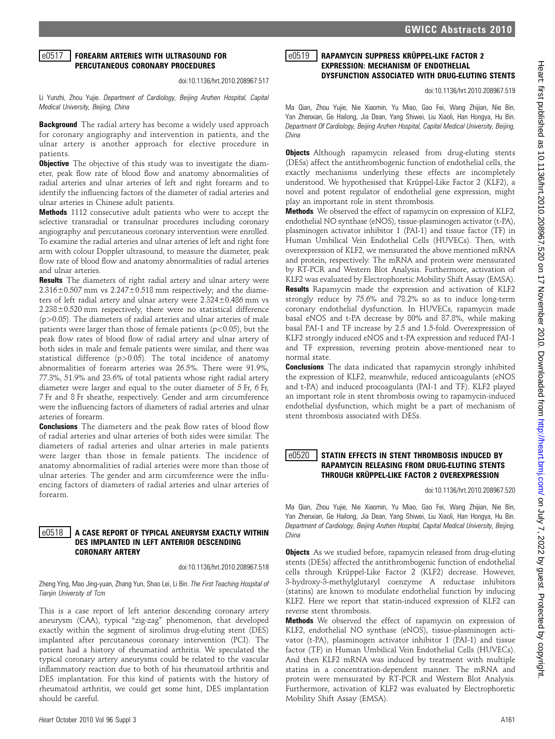## e0517 FOREARM ARTERIES WITH ULTRASOUND FOR PERCUTANEOUS CORONARY PROCEDURES

doi:10.1136/hrt.2010.208967.517

Li Yunzhi, Zhou Yujie. Department of Cardiology, Beijing Anzhen Hospital, Capital Medical University, Beijing, China

**Background** The radial artery has become a widely used approach for coronary angiography and intervention in patients, and the ulnar artery is another approach for elective procedure in patients.

**Objective** The objective of this study was to investigate the diameter, peak flow rate of blood flow and anatomy abnormalities of radial arteries and ulnar arteries of left and right forearm and to identify the influencing factors of the diameter of radial arteries and ulnar arteries in Chinese adult patients.

Methods 1112 consecutive adult patients who were to accept the selective transradial or transulnar procedures including coronary angiography and percutaneous coronary intervention were enrolled. To examine the radial arteries and ulnar arteries of left and right fore arm with colour Doppler ultrasound, to measure the diameter, peak flow rate of blood flow and anatomy abnormalities of radial arteries and ulnar arteries.

**Results** The diameters of right radial artery and ulnar artery were  $2.316\pm0.507$  mm vs  $2.247\pm0.518$  mm respectively; and the diameters of left radial artery and ulnar artery were  $2.324\pm0.486$  mm vs  $2.238\pm0.520$  mm respectively, there were no statistical difference  $(p>0.05)$ . The diameters of radial arteries and ulnar arteries of male patients were larger than those of female patients (p<0.05), but the peak flow rates of blood flow of radial artery and ulnar artery of both sides in male and female patients were similar, and there was statistical difference  $(p>0.05)$ . The total incidence of anatomy abnormalities of forearm arteries was 26.5%. There were 91.9%, 77.3%, 51.9% and 23.6% of total patients whose right radial artery diameter were larger and equal to the outer diameter of 5 Fr, 6 Fr, 7 Fr and 8 Fr sheathe, respectively. Gender and arm circumference were the influencing factors of diameters of radial arteries and ulnar arteries of forearm.

**Conclusions** The diameters and the peak flow rates of blood flow of radial arteries and ulnar arteries of both sides were similar. The diameters of radial arteries and ulnar arteries in male patients were larger than those in female patients. The incidence of anatomy abnormalities of radial arteries were more than those of ulnar arteries. The gender and arm circumference were the influencing factors of diameters of radial arteries and ulnar arteries of forearm.

# $\mid$ e $0518$   $\mid$  a case report of typical aneurysm exactly within DES IMPLANTED IN LEFT ANTERIOR DESCENDING CORONARY ARTERY

doi:10.1136/hrt.2010.208967.518

Zheng Ying, Mao Jing-yuan, Zhang Yun, Shao Lei, Li Bin. The First Teaching Hospital of Tianjin University of Tcm

This is a case report of left anterior descending coronary artery aneurysm (CAA), typical "zig-zag" phenomenon, that developed exactly within the segment of sirolimus drug-eluting stent (DES) implanted after percutaneous coronary intervention (PCI). The patient had a history of rheumatiod arthritis. We speculated the typical coronary artery aneurysms could be related to the vascular inflammatory reaction due to both of his rheumatoid arthritis and DES implantation. For this kind of patients with the history of rheumatoid arthritis, we could get some hint, DES implantation should be careful.

## **e0519** RAPAMYCIN SUPPRESS KRÜPPEL-LIKE FACTOR 2 EXPRESSION: MECHANISM OF ENDOTHELIAL DYSFUNCTION ASSOCIATED WITH DRUG-ELUTING STENTS

doi:10.1136/hrt.2010.208967.519

Ma Qian, Zhou Yujie, Nie Xiaomin, Yu Miao, Gao Fei, Wang Zhijian, Nie Bin, Yan Zhenxian, Ge Hailong, Jia Dean, Yang Shiwei, Liu Xiaoli, Han Hongya, Hu Bin. Department Of Cardiology, Beijing Anzhen Hospital, Capital Medical University, Beijing, China

**Objects** Although rapamycin released from drug-eluting stents (DESs) affect the antithrombogenic function of endothelial cells, the exactly mechanisms underlying these effects are incompletely understood. We hypothesised that Krüppel-Like Factor 2 (KLF2), a novel and potent regulator of endothelial gene expression, might play an important role in stent thrombosis.

Methods We observed the effect of rapamycin on expression of KLF2, endothelial NO synthase (eNOS), tissue-plasminogen activator (t-PA), plasminogen activator inhibitor 1 (PAI-1) and tissue factor (TF) in Human Umbilical Vein Endothelial Cells (HUVECs). Then, with overexpression of KLF2, we mensurated the above mentioned mRNA and protein, respectively. The mRNA and protein were mensurated by RT-PCR and Western Blot Analysis. Furthermore, activation of KLF2 was evaluated by Electrophoretic Mobility Shift Assay (EMSA). Results Rapamycin made the expression and activation of KLF2 strongly reduce by 75.6% and 78.2% so as to induce long-term coronary endothelial dysfunction. In HUVECs, rapamycin made basal eNOS and t-PA decrease by 80% and 87.8%, while making basal PAI-1 and TF increase by 2.5 and 1.5-fold. Overexpression of KLF2 strongly induced eNOS and t-PA expression and reduced PAI-1 and TF expression, reversing protein above-mentioned near to normal state.

Conclusions The data indicated that rapamycin strongly inhibited the expression of KLF2, meanwhile, reduced anticoagulants (eNOS and t-PA) and induced procoagulants (PAI-1 and TF). KLF2 played an important role in stent thrombosis owing to rapamycin-induced endothelial dysfunction, which might be a part of mechanism of stent thrombosis associated with DESs.

## $\mid$ e $0520$   $\mid$  statin effects in stent thrombosis induced by RAPAMYCIN RELEASING FROM DRUG-ELUTING STENTS THROUGH KRÜPPEL-LIKE FACTOR 2 OVEREXPRESSION

doi:10.1136/hrt.2010.208967.520

Ma Qian, Zhou Yujie, Nie Xiaomin, Yu Miao, Gao Fei, Wang Zhijian, Nie Bin, Yan Zhenxian, Ge Hailong, Jia Dean, Yang Shiwei, Liu Xiaoli, Han Hongya, Hu Bin. Department of Cardiology, Beijing Anzhen Hospital, Capital Medical University, Beijing, China

**Objects** As we studied before, rapamycin released from drug-eluting stents (DESs) affected the antithrombogenic function of endothelial cells through Krüppel-Like Factor 2 (KLF2) decrease. However, 3-hydroxy-3-methylglutaryl coenzyme A reductase inhibitors (statins) are known to modulate endothelial function by inducing KLF2. Here we report that statin-induced expression of KLF2 can reverse stent thrombosis.

Methods We observed the effect of rapamycin on expression of KLF2, endothelial NO synthase (eNOS), tissue-plasminogen activator (t-PA), plasminogen activator inhibitor 1 (PAI-1) and tissue factor (TF) in Human Umbilical Vein Endothelial Cells (HUVECs). And then KLF2 mRNA was induced by treatment with multiple statins in a concentration-dependent manner. The mRNA and protein were mensurated by RT-PCR and Western Blot Analysis. Furthermore, activation of KLF2 was evaluated by Electrophoretic Mobility Shift Assay (EMSA).